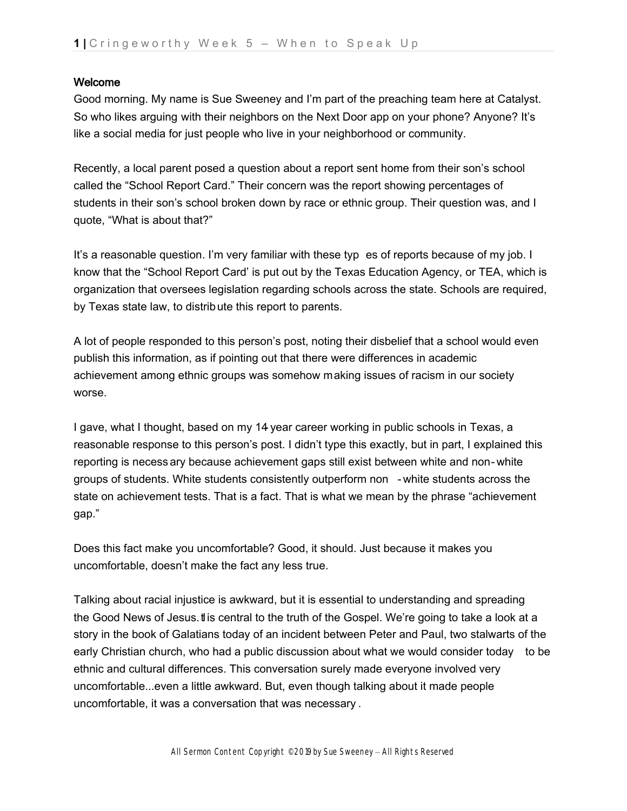## Welcome

Good morning. My name is Sue Sweeney and I'm part of the preaching team here at Catalyst. So who likes arguing with their neighbors on the Next Door app on your phone? Anyone? It's like a social media for just people who live in your neighborhood or community.

Recently, a local parent posed a question about a report sent home from their son's school called the "School Report Card." Their concern was the report showing percentages of students in their son's school broken down by race or ethnic group. Their question was, and I quote, "What is about that?"

It's a reasonable question. I'm very familiar with these typ es of reports because of my job. I know that the "School Report Card' is put out by the Texas Education Agency, or TEA, which is organization that oversees legislation regarding schools across the state. Schools are required, by Texas state law, to distribute this report to parents.

A lot of people responded to this person's post, noting their disbelief that a school would even publish this information, as if pointing out that there were differences in academic achievement among ethnic groups was somehow making issues of racism in our society worse.

I gave, what I thought, based on my 14 year career working in public schools in Texas, a reasonable response to this person's post. I didn't type this exactly, but in part, I explained this reporting is necess ary because achievement gaps still exist between white and non- white groups of students. White students consistently outperform non - white students across the state on achievement tests. That is a fact. That is what we mean by the phrase "achievement gap."

Does this fact make you uncomfortable? Good, it should. Just because it makes you uncomfortable, doesn't make the fact any less true.

Talking about racial injustice is awkward, but it is essential to understanding and spreading the Good News of Jesus. It is central to the truth of the Gospel. We're going to take a look at a story in the book of Galatians today of an incident between Peter and Paul, two stalwarts of the early Christian church, who had a public discussion about what we would consider today to be ethnic and cultural differences. This conversation surely made everyone involved very uncomfortable...even a little awkward. But, even though talking about it made people uncomfortable, it was a conversation that was necessary .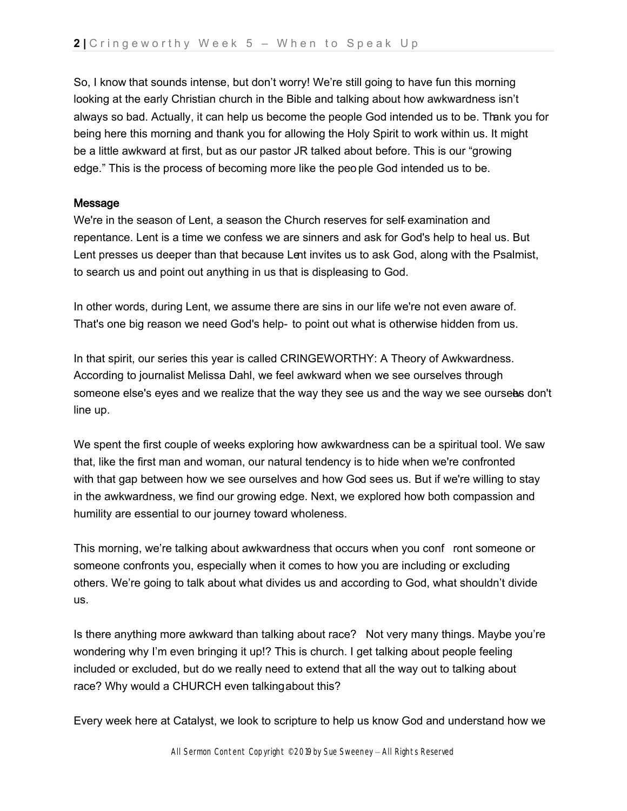So, I know that sounds intense, but don't worry! We're still going to have fun this morning looking at the early Christian church in the Bible and talking about how awkwardness isn't always so bad. Actually, it can help us become the people God intended us to be. Thank you for being here this morning and thank you for allowing the Holy Spirit to work within us. It might be a little awkward at first, but as our pastor JR talked about before. This is our "growing edge." This is the process of becoming more like the peo ple God intended us to be.

### Message

We're in the season of Lent, a season the Church reserves for self- examination and repentance. Lent is a time we confess we are sinners and ask for God's help to heal us. But Lent presses us deeper than that because Lent invites us to ask God, along with the Psalmist, to search us and point out anything in us that is displeasing to God.

In other words, during Lent, we assume there are sins in our life we're not even aware of. That's one big reason we need God's help- to point out what is otherwise hidden from us.

In that spirit, our series this year is called CRINGEWORTHY: A Theory of Awkwardness. According to journalist Melissa Dahl, we feel awkward when we see ourselves through someone else's eyes and we realize that the way they see us and the way we see ourseles don't line up.

We spent the first couple of weeks exploring how awkwardness can be a spiritual tool. We saw that, like the first man and woman, our natural tendency is to hide when we're confronted with that gap between how we see ourselves and how God sees us. But if we're willing to stay in the awkwardness, we find our growing edge. Next, we explored how both compassion and humility are essential to our journey toward wholeness.

This morning, we're talking about awkwardness that occurs when you conf ront someone or someone confronts you, especially when it comes to how you are including or excluding others. We're going to talk about what divides us and according to God, what shouldn't divide us.

Is there anything more awkward than talking about race? Not very many things. Maybe you're wondering why I'm even bringing it up!? This is church. I get talking about people feeling included or excluded, but do we really need to extend that all the way out to talking about race? Why would a CHURCH even talkingabout this?

Every week here at Catalyst, we look to scripture to help us know God and understand how we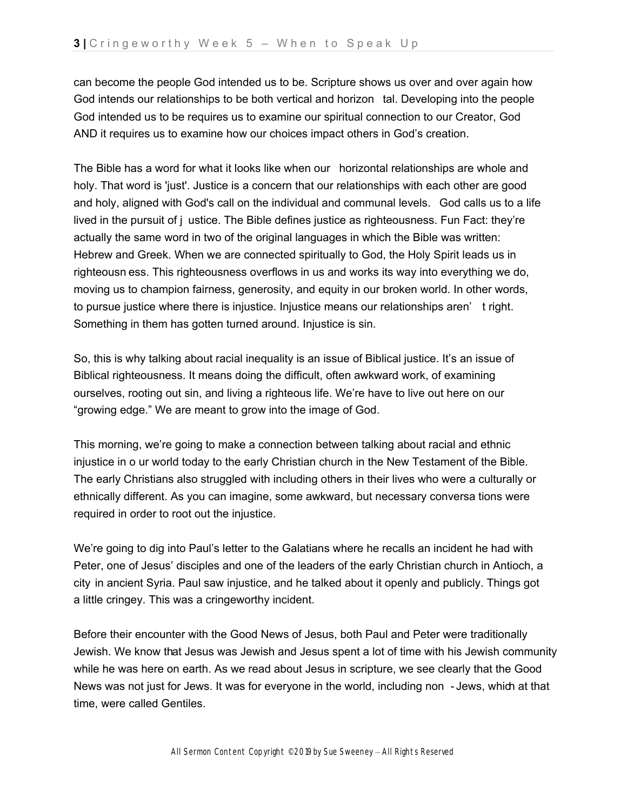can become the people God intended us to be. Scripture shows us over and over again how God intends our relationships to be both vertical and horizon tal. Developing into the people God intended us to be requires us to examine our spiritual connection to our Creator, God AND it requires us to examine how our choices impact others in God's creation.

The Bible has a word for what it looks like when our horizontal relationships are whole and holy. That word is 'just'. Justice is a concern that our relationships with each other are good and holy, aligned with God's call on the individual and communal levels. God calls us to a life lived in the pursuit of j ustice. The Bible defines justice as righteousness. Fun Fact: they're actually the same word in two of the original languages in which the Bible was written: Hebrew and Greek. When we are connected spiritually to God, the Holy Spirit leads us in righteousn ess. This righteousness overflows in us and works its way into everything we do, moving us to champion fairness, generosity, and equity in our broken world. In other words, to pursue justice where there is injustice. Injustice means our relationships aren' t right. Something in them has gotten turned around. Injustice is sin.

So, this is why talking about racial inequality is an issue of Biblical justice. It's an issue of Biblical righteousness. It means doing the difficult, often awkward work, of examining ourselves, rooting out sin, and living a righteous life. We're have to live out here on our "growing edge." We are meant to grow into the image of God.

This morning, we're going to make a connection between talking about racial and ethnic injustice in o ur world today to the early Christian church in the New Testament of the Bible. The early Christians also struggled with including others in their lives who were a culturally or ethnically different. As you can imagine, some awkward, but necessary conversa tions were required in order to root out the injustice.

We're going to dig into Paul's letter to the Galatians where he recalls an incident he had with Peter, one of Jesus' disciples and one of the leaders of the early Christian church in Antioch, a city in ancient Syria. Paul saw injustice, and he talked about it openly and publicly. Things got a little cringey. This was a cringeworthy incident.

Before their encounter with the Good News of Jesus, both Paul and Peter were traditionally Jewish. We know that Jesus was Jewish and Jesus spent a lot of time with his Jewish community while he was here on earth. As we read about Jesus in scripture, we see clearly that the Good News was not just for Jews. It was for everyone in the world, including non - Jews, which at that time, were called Gentiles.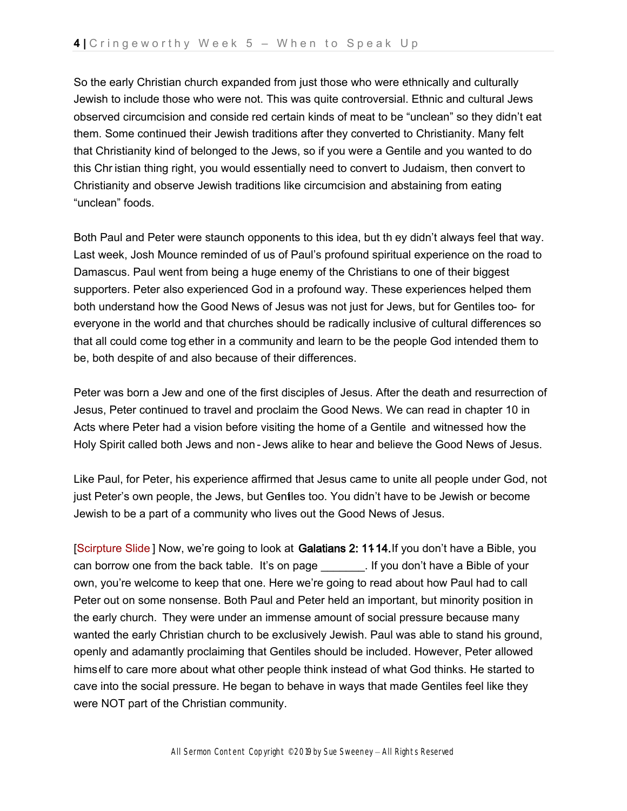So the early Christian church expanded from just those who were ethnically and culturally Jewish to include those who were not. This was quite controversial. Ethnic and cultural Jews observed circumcision and conside red certain kinds of meat to be "unclean" so they didn't eat them. Some continued their Jewish traditions after they converted to Christianity. Many felt that Christianity kind of belonged to the Jews, so if you were a Gentile and you wanted to do this Chr istian thing right, you would essentially need to convert to Judaism, then convert to Christianity and observe Jewish traditions like circumcision and abstaining from eating "unclean" foods.

Both Paul and Peter were staunch opponents to this idea, but th ey didn't always feel that way. Last week, Josh Mounce reminded of us of Paul's profound spiritual experience on the road to Damascus. Paul went from being a huge enemy of the Christians to one of their biggest supporters. Peter also experienced God in a profound way. These experiences helped them both understand how the Good News of Jesus was not just for Jews, but for Gentiles too- for everyone in the world and that churches should be radically inclusive of cultural differences so that all could come tog ether in a community and learn to be the people God intended them to be, both despite of and also because of their differences.

Peter was born a Jew and one of the first disciples of Jesus. After the death and resurrection of Jesus, Peter continued to travel and proclaim the Good News. We can read in chapter 10 in Acts where Peter had a vision before visiting the home of a Gentile and witnessed how the Holy Spirit called both Jews and non - Jews alike to hear and believe the Good News of Jesus.

Like Paul, for Peter, his experience affirmed that Jesus came to unite all people under God, not just Peter's own people, the Jews, but Gentiles too. You didn't have to be Jewish or become Jewish to be a part of a community who lives out the Good News of Jesus.

[Scirpture Slide] Now, we're going to look at Galatians 2: 1114. If you don't have a Bible, you can borrow one from the back table. It's on page \_\_\_\_\_\_\_. If you don't have a Bible of your own, you're welcome to keep that one. Here we're going to read about how Paul had to call Peter out on some nonsense. Both Paul and Peter held an important, but minority position in the early church. They were under an immense amount of social pressure because many wanted the early Christian church to be exclusively Jewish. Paul was able to stand his ground, openly and adamantly proclaiming that Gentiles should be included. However, Peter allowed himself to care more about what other people think instead of what God thinks. He started to cave into the social pressure. He began to behave in ways that made Gentiles feel like they were NOT part of the Christian community.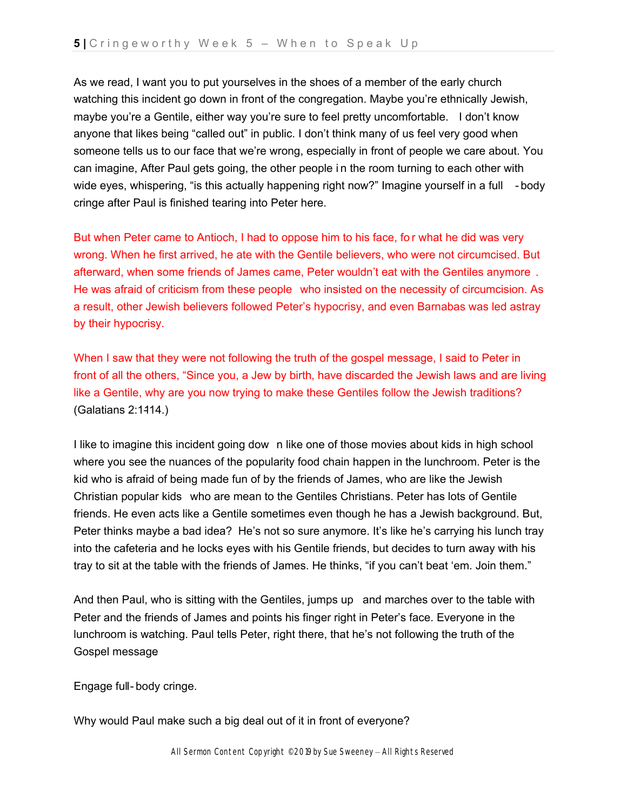As we read, I want you to put yourselves in the shoes of a member of the early church watching this incident go down in front of the congregation. Maybe you're ethnically Jewish, maybe you're a Gentile, either way you're sure to feel pretty uncomfortable. I don't know anyone that likes being "called out" in public. I don't think many of us feel very good when someone tells us to our face that we're wrong, especially in front of people we care about. You can imagine, After Paul gets going, the other people i n the room turning to each other with wide eyes, whispering, "is this actually happening right now?" Imagine yourself in a full - body cringe after Paul is finished tearing into Peter here.

But when Peter came to Antioch, I had to oppose him to his face, fo r what he did was very wrong. When he first arrived, he ate with the Gentile believers, who were not circumcised. But afterward, when some friends of James came, Peter wouldn't eat with the Gentiles anymore . He was afraid of criticism from these people who insisted on the necessity of circumcision. As a result, other Jewish believers followed Peter's hypocrisy, and even Barnabas was led astray by their hypocrisy.

When I saw that they were not following the truth of the gospel message, I said to Peter in front of all the others, "Since you, a Jew by birth, have discarded the Jewish laws and are living like a Gentile, why are you now trying to make these Gentiles follow the Jewish traditions?  $(Galatians 2:1414.)$ 

I like to imagine this incident going dow n like one of those movies about kids in high school where you see the nuances of the popularity food chain happen in the lunchroom. Peter is the kid who is afraid of being made fun of by the friends of James, who are like the Jewish Christian popular kids who are mean to the Gentiles Christians. Peter has lots of Gentile friends. He even acts like a Gentile sometimes even though he has a Jewish background. But, Peter thinks maybe a bad idea? He's not so sure anymore. It's like he's carrying his lunch tray into the cafeteria and he locks eyes with his Gentile friends, but decides to turn away with his tray to sit at the table with the friends of James. He thinks, "if you can't beat 'em. Join them."

And then Paul, who is sitting with the Gentiles, jumps up and marches over to the table with Peter and the friends of James and points his finger right in Peter's face. Everyone in the lunchroom is watching. Paul tells Peter, right there, that he's not following the truth of the Gospel message.

Engage full- body cringe.

Why would Paul make such a big deal out of it in front of everyone?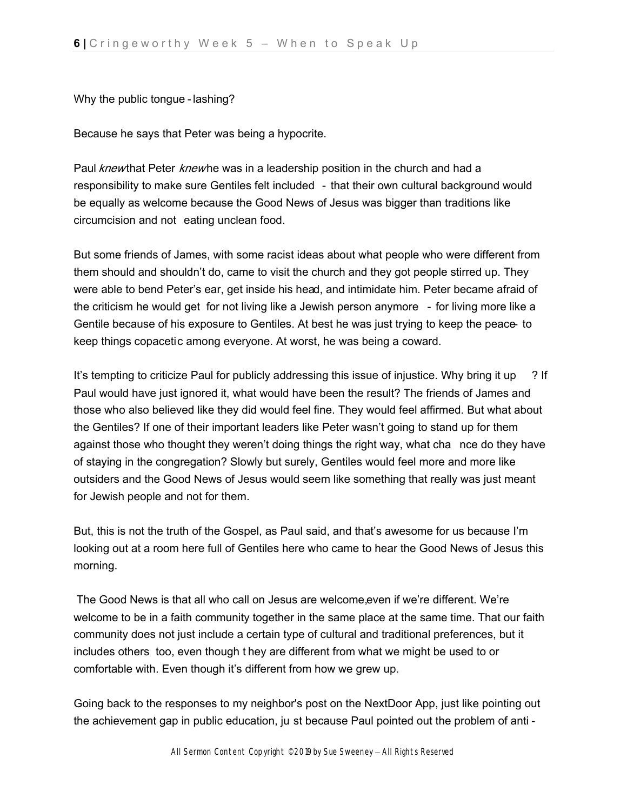Why the public tongue - lashing?

Because he says that Peter was being a hypocrite.

Paul knewthat Peter knewhe was in a leadership position in the church and had a responsibility to make sure Gentiles felt included - that their own cultural background would be equally as welcome because the Good News of Jesus was bigger than traditions like circumcision and not eating unclean food.

But some friends of James, with some racist ideas about what people who were different from them should and shouldn't do, came to visit the church and they got people stirred up. They were able to bend Peter's ear, get inside his head, and intimidate him. Peter became afraid of the criticism he would get for not living like a Jewish person anymore - for living more like a Gentile because of his exposure to Gentiles. At best he was just trying to keep the peace- to keep things copacetic among everyone. At worst, he was being a coward.

It's tempting to criticize Paul for publicly addressing this issue of injustice. Why bring it up ? If Paul would have just ignored it, what would have been the result? The friends of James and those who also believed like they did would feel fine. They would feel affirmed. But what about the Gentiles? If one of their important leaders like Peter wasn't going to stand up for them against those who thought they weren't doing things the right way, what cha nce do they have of staying in the congregation? Slowly but surely, Gentiles would feel more and more like outsiders and the Good News of Jesus would seem like something that really was just meant for Jewish people and not for them.

But, this is not the truth of the Gospel, as Paul said, and that's awesome for us because I'm looking out at a room here full of Gentiles here who came to hear the Good News of Jesus this morning.

The Good News is that all who call on Jesus are welcome, even if we're different. We're welcome to be in a faith community together in the same place at the same time. That our faith community does not just include a certain type of cultural and traditional preferences, but it includes others too, even though t hey are different from what we might be used to or comfortable with. Even though it's different from how we grew up.

Going back to the responses to my neighbor's post on the NextDoor App, just like pointing out the achievement gap in public education, ju st because Paul pointed out the problem of anti -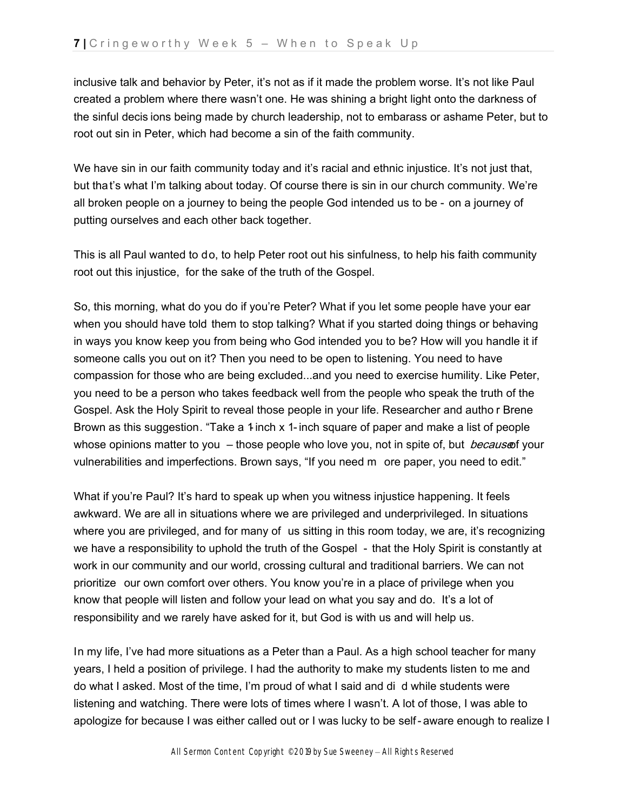inclusive talk and behavior by Peter, it's not as if it made the problem worse. It's not like Paul created a problem where there wasn't one. He was shining a bright light onto the darkness of the sinful decis ions being made by church leadership, not to embarass or ashame Peter, but to root out sin in Peter, which had become a sin of the faith community.

We have sin in our faith community today and it's racial and ethnic injustice. It's not just that, but that's what I'm talking about today. Of course there is sin in our church community. We're all broken people on a journey to being the people God intended us to be - on a journey of putting ourselves and each other back together.

This is all Paul wanted to do, to help Peter root out his sinfulness, to help his faith community root out this injustice, for the sake of the truth of the Gospel.

So, this morning, what do you do if you're Peter? What if you let some people have your ear when you should have told them to stop talking? What if you started doing things or behaving in ways you know keep you from being who God intended you to be? How will you handle it if someone calls you out on it? Then you need to be open to listening. You need to have compassion for those who are being excluded...and you need to exercise humility. Like Peter, you need to be a person who takes feedback well from the people who speak the truth of the Gospel. Ask the Holy Spirit to reveal those people in your life. Researcher and autho r Brene Brown as this suggestion. "Take a 1-inch x 1-inch square of paper and make a list of people whose opinions matter to you  $-$  those people who love you, not in spite of, but *becaus* of your vulnerabilities and imperfections. Brown says, "If you need m ore paper, you need to edit."

What if you're Paul? It's hard to speak up when you witness injustice happening. It feels awkward. We are all in situations where we are privileged and underprivileged. In situations where you are privileged, and for many of us sitting in this room today, we are, it's recognizing we have a responsibility to uphold the truth of the Gospel - that the Holy Spirit is constantly at work in our community and our world, crossing cultural and traditional barriers. We can not prioritize our own comfort over others. You know you're in a place of privilege when you know that people will listen and follow your lead on what you say and do. It's a lot of responsibility and we rarely have asked for it, but God is with us and will help us.

In my life, I've had more situations as a Peter than a Paul. As a high school teacher for many years, I held a position of privilege. I had the authority to make my students listen to me and do what I asked. Most of the time, I'm proud of what I said and di d while students were listening and watching. There were lots of times where I wasn't. A lot of those, I was able to apologize for because I was either called out or I was lucky to be self- aware enough to realize I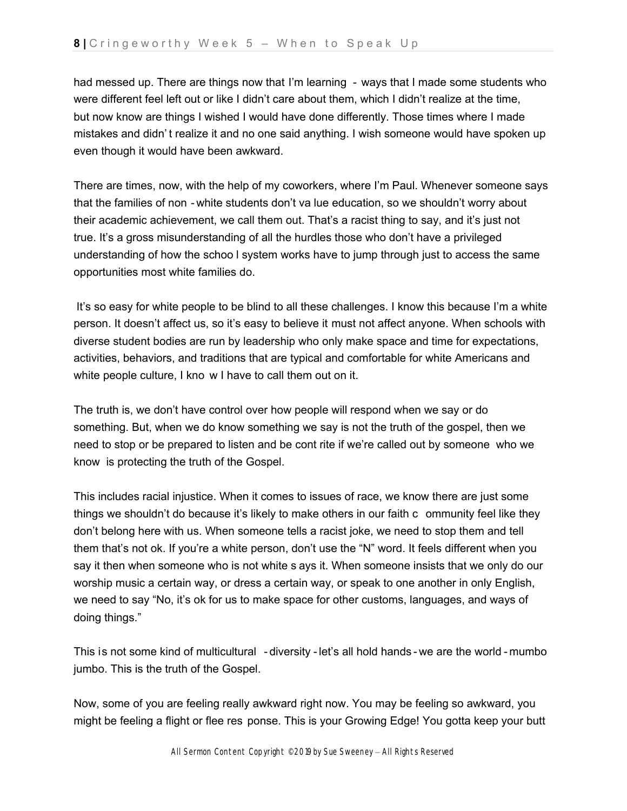had messed up. There are things now that I'm learning - ways that I made some students who were different feel left out or like I didn't care about them, which I didn't realize at the time, but now know are things I wished I would have done differently. Those times where I made mistakes and didn' t realize it and no one said anything. I wish someone would have spoken up even though it would have been awkward.

There are times, now, with the help of my coworkers, where I'm Paul. Whenever someone says that the families of non - white students don't va lue education, so we shouldn't worry about their academic achievement, we call them out. That's a racist thing to say, and it's just not true. It's a gross misunderstanding of all the hurdles those who don't have a privileged understanding of how the schoo l system works have to jump through just to access the same opportunities most white families do.

It's so easy for white people to be blind to all these challenges. I know this because I'm a white person. It doesn't affect us, so it's easy to believe it must not affect anyone. When schools with diverse student bodies are run by leadership who only make space and time for expectations, activities, behaviors, and traditions that are typical and comfortable for white Americans and white people culture, I kno w I have to call them out on it.

The truth is, we don't have control over how people will respond when we say or do something. But, when we do know something we say is not the truth of the gospel, then we need to stop or be prepared to listen and be cont rite if we're called out by someone who we know is protecting the truth of the Gospel.

This includes racial injustice. When it comes to issues of race, we know there are just some things we shouldn't do because it's likely to make others in our faith c ommunity feel like they don't belong here with us. When someone tells a racist joke, we need to stop them and tell them that's not ok. If you're a white person, don't use the "N" word. It feels different when you say it then when someone who is not white s ays it. When someone insists that we only do our worship music a certain way, or dress a certain way, or speak to one another in only English, we need to say "No, it's ok for us to make space for other customs, languages, and ways of doing things."

This is not some kind of multicultural - diversity -let's all hold hands - we are the world - mumbo jumbo. This is the truth of the Gospel.

Now, some of you are feeling really awkward right now. You may be feeling so awkward, you might be feeling a flight or flee res ponse. This is your Growing Edge! You gotta keep your butt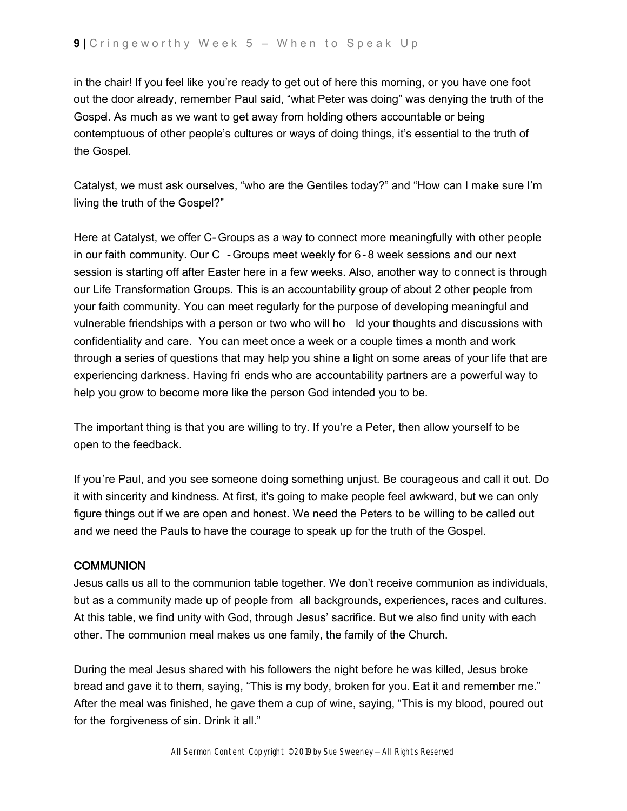in the chair! If you feel like you're ready to get out of here this morning, or you have one foot out the door already, remember Paul said, "what Peter was doing" was denying the truth of the Gospel. As much as we want to get away from holding others accountable or being contemptuous of other people's cultures or ways of doing things, it's essential to the truth of the Gospel.

Catalyst, we must ask ourselves, "who are the Gentiles today?" and "How can I make sure I'm living the truth of the Gospel?"

Here at Catalyst, we offer C- Groups as a way to connect more meaningfully with other people in our faith community. Our C - Groups meet weekly for 6- 8 week sessions and our next session is starting off after Easter here in a few weeks. Also, another way to connect is through our Life Transformation Groups. This is an accountability group of about 2 other people from your faith community. You can meet regularly for the purpose of developing meaningful and vulnerable friendships with a person or two who will ho ld your thoughts and discussions with confidentiality and care. You can meet once a week or a couple times a month and work through a series of questions that may help you shine a light on some areas of your life that are experiencing darkness. Having fri ends who are accountability partners are a powerful way to help you grow to become more like the person God intended you to be.

The important thing is that you are willing to try. If you're a Peter, then allow yourself to be open to the feedback.

If you're Paul, and you see someone doing something unjust. Be courageous and call it out. Do it with sincerity and kindness. At first, it's going to make people feel awkward, but we can only figure things out if we are open and honest. We need the Peters to be willing to be called out and we need the Pauls to have the courage to speak up for the truth of the Gospel.

# **COMMUNION**

Jesus calls us all to the communion table together. We don't receive communion as individuals, but as a community made up of people from all backgrounds, experiences, races and cultures. At this table, we find unity with God, through Jesus' sacrifice. But we also find unity with each other. The communion meal makes us one family, the family of the Church.

During the meal Jesus shared with his followers the night before he was killed, Jesus broke bread and gave it to them, saying, "This is my body, broken for you. Eat it and remember me." After the meal was finished, he gave them a cup of wine, saying, "This is my blood, poured out for the forgiveness of sin. Drink it all."